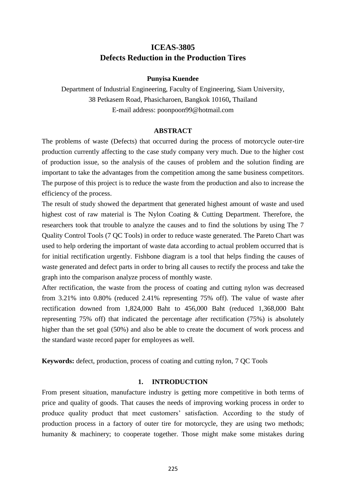# **ICEAS-3805 Defects Reduction in the Production Tires**

### **Punyisa Kuendee**

Department of Industrial Engineering, Faculty of Engineering, Siam University, 38 Petkasem Road, Phasicharoen, Bangkok 10160**,** Thailand E-mail address: poonpoon99@hotmail.com

### **ABSTRACT**

The problems of waste (Defects) that occurred during the process of motorcycle outer-tire production currently affecting to the case study company very much. Due to the higher cost of production issue, so the analysis of the causes of problem and the solution finding are important to take the advantages from the competition among the same business competitors. The purpose of this project is to reduce the waste from the production and also to increase the efficiency of the process.

The result of study showed the department that generated highest amount of waste and used highest cost of raw material is The Nylon Coating & Cutting Department. Therefore, the researchers took that trouble to analyze the causes and to find the solutions by using The 7 Quality Control Tools (7 QC Tools) in order to reduce waste generated. The Pareto Chart was used to help ordering the important of waste data according to actual problem occurred that is for initial rectification urgently. Fishbone diagram is a tool that helps finding the causes of waste generated and defect parts in order to bring all causes to rectify the process and take the graph into the comparison analyze process of monthly waste.

After rectification, the waste from the process of coating and cutting nylon was decreased from 3.21% into 0.80% (reduced 2.41% representing 75% off). The value of waste after rectification downed from 1,824,000 Baht to 456,000 Baht (reduced 1,368,000 Baht representing 75% off) that indicated the percentage after rectification (75%) is absolutely higher than the set goal (50%) and also be able to create the document of work process and the standard waste record paper for employees as well.

**Keywords:** defect, production, process of coating and cutting nylon, 7 QC Tools

#### **1. INTRODUCTION**

From present situation, manufacture industry is getting more competitive in both terms of price and quality of goods. That causes the needs of improving working process in order to produce quality product that meet customers' satisfaction. According to the study of production process in a factory of outer tire for motorcycle, they are using two methods; humanity & machinery; to cooperate together. Those might make some mistakes during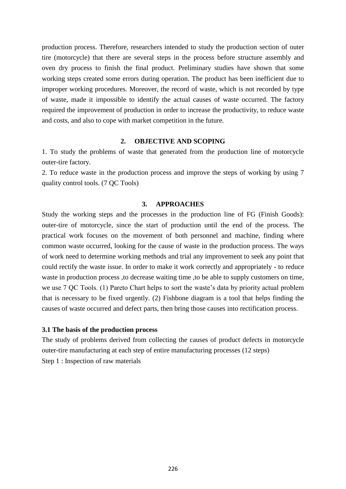production process. Therefore, researchers intended to study the production section of outer tire (motorcycle) that there are several steps in the process before structure assembly and oven dry process to finish the final product. Preliminary studies have shown that some working steps created some errors during operation. The product has been inefficient due to improper working procedures. Moreover, the record of waste, which is not recorded by type of waste, made it impossible to identify the actual causes of waste occurred. The factory required the improvement of production in order to increase the productivity, to reduce waste and costs, and also to cope with market competition in the future.

### **2. OBJECTIVE AND SCOPING**

1. To study the problems of waste that generated from the production line of motorcycle outer-tire factory.

2. To reduce waste in the production process and improve the steps of working by using 7 quality control tools. (7 QC Tools)

### **3. APPROACHES**

Study the working steps and the processes in the production line of FG (Finish Goods): outer-tire of motorcycle, since the start of production until the end of the process. The practical work focuses on the movement of both personnel and machine, finding where common waste occurred, looking for the cause of waste in the production process. The ways of work need to determine working methods and trial any improvement to seek any point that could rectify the waste issue. In order to make it work correctly and appropriately - to reduce waste in production process, to decrease waiting time, to be able to supply customers on time, we use 7 QC Tools. (1) Pareto Chart helps to sort the waste's data by priority actual problem that is necessary to be fixed urgently. (2) Fishbone diagram is a tool that helps finding the causes of waste occurred and defect parts, then bring those causes into rectification process.

#### **3.1 The basis of the production process**

The study of problems derived from collecting the causes of product defects in motorcycle outer-tire manufacturing at each step of entire manufacturing processes (12 steps) Step 1 : Inspection of raw materials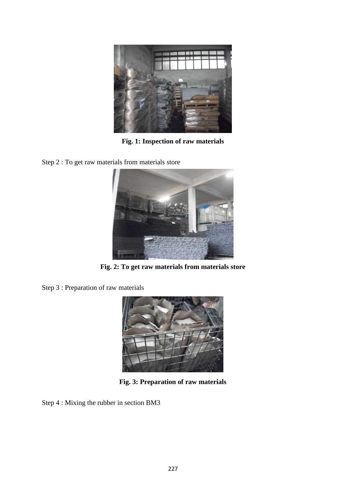

**Fig. 1: Inspection of raw materials**

Step 2 : To get raw materials from materials store



**Fig. 2: To get raw materials from materials store**

Step 3 : Preparation of raw materials



**Fig. 3: Preparation of raw materials**

Step 4 : Mixing the rubber in section BM3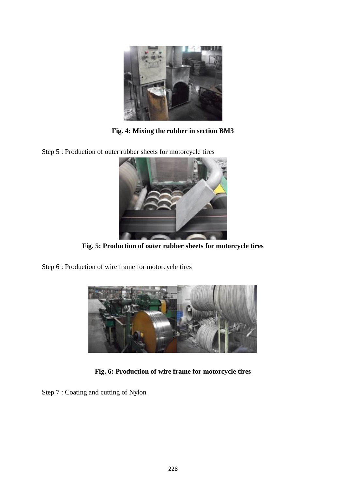

**Fig. 4: Mixing the rubber in section BM3**

Step 5 : Production of outer rubber sheets for motorcycle tires



**Fig. 5: Production of outer rubber sheets for motorcycle tires**

Step 6 : Production of wire frame for motorcycle tires



**Fig. 6: Production of wire frame for motorcycle tires**

Step 7 : Coating and cutting of Nylon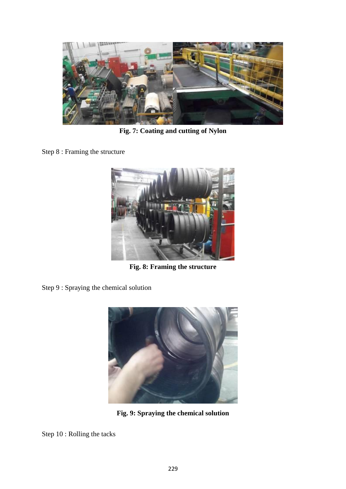

**Fig. 7: Coating and cutting of Nylon**

Step 8 : Framing the structure



**Fig. 8: Framing the structure**

Step 9 : Spraying the chemical solution



**Fig. 9: Spraying the chemical solution**

Step 10 : Rolling the tacks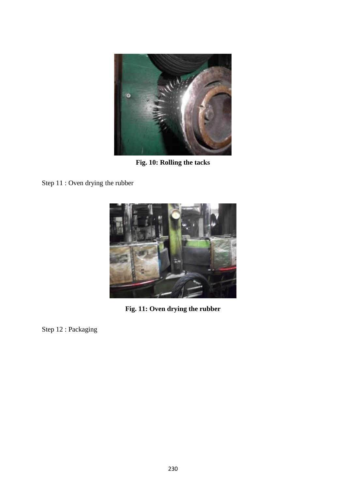

**Fig. 10: Rolling the tacks**

Step 11 : Oven drying the rubber



**Fig. 11: Oven drying the rubber**

Step 12 : Packaging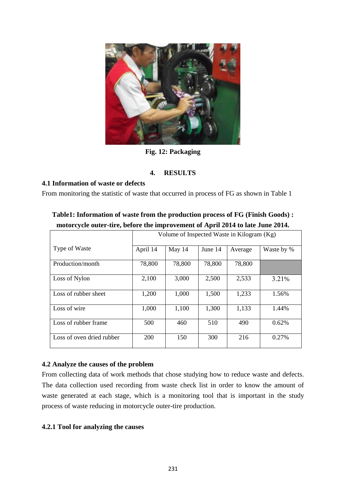

**Fig. 12: Packaging**

## **4. RESULTS**

## **4.1 Information of waste or defects**

From monitoring the statistic of waste that occurred in process of FG as shown in Table 1

|                           | Volume of Inspected Waste in Kilogram (Kg) |        |         |         |            |
|---------------------------|--------------------------------------------|--------|---------|---------|------------|
| Type of Waste             | April 14                                   | May 14 | June 14 | Average | Waste by % |
| Production/month          | 78,800                                     | 78,800 | 78,800  | 78,800  |            |
| Loss of Nylon             | 2,100                                      | 3,000  | 2,500   | 2,533   | 3.21%      |
| Loss of rubber sheet      | 1,200                                      | 1,000  | 1,500   | 1,233   | 1.56%      |
| Loss of wire              | 1,000                                      | 1,100  | 1,300   | 1,133   | 1.44%      |
| Loss of rubber frame      | 500                                        | 460    | 510     | 490     | 0.62%      |
| Loss of oven dried rubber | 200                                        | 150    | 300     | 216     | 0.27%      |

# **Table1: Information of waste from the production process of FG (Finish Goods) : motorcycle outer-tire, before the improvement of April 2014 to late June 2014.**

## **4.2 Analyze the causes of the problem**

From collecting data of work methods that chose studying how to reduce waste and defects. The data collection used recording from waste check list in order to know the amount of waste generated at each stage, which is a monitoring tool that is important in the study process of waste reducing in motorcycle outer-tire production.

## **4.2.1 Tool for analyzing the causes**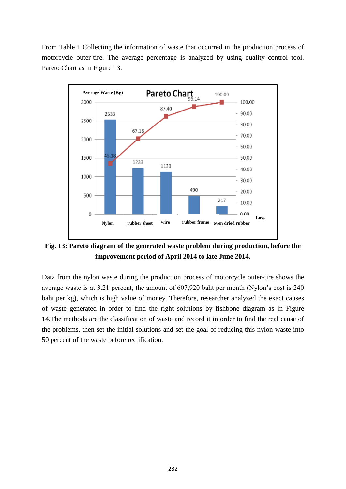From Table 1 Collecting the information of waste that occurred in the production process of motorcycle outer-tire. The average percentage is analyzed by using quality control tool. Pareto Chart as in Figure 13.



**Fig. 13: Pareto diagram of the generated waste problem during production, before the improvement period of April 2014 to late June 2014.**

Data from the nylon waste during the production process of motorcycle outer-tire shows the average waste is at 3.21 percent, the amount of 607,920 baht per month (Nylon's cost is 240 baht per kg), which is high value of money. Therefore, researcher analyzed the exact causes of waste generated in order to find the right solutions by fishbone diagram as in Figure 14.The methods are the classification of waste and record it in order to find the real cause of the problems, then set the initial solutions and set the goal of reducing this nylon waste into 50 percent of the waste before rectification.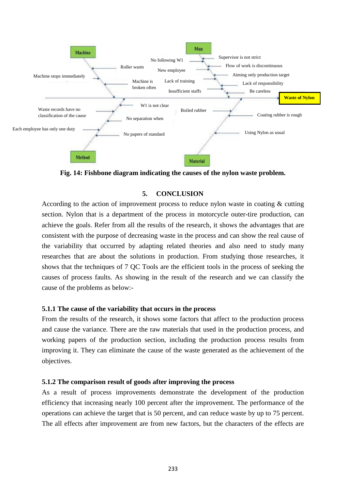

**Fig. 14: Fishbone diagram indicating the causes of the nylon waste problem.**

# **5. CONCLUSION**

According to the action of improvement process to reduce nylon waste in coating & cutting section. Nylon that is a department of the process in motorcycle outer-tire production, can achieve the goals. Refer from all the results of the research, it shows the advantages that are consistent with the purpose of decreasing waste in the process and can show the real cause of the variability that occurred by adapting related theories and also need to study many researches that are about the solutions in production. From studying those researches, it shows that the techniques of 7 QC Tools are the efficient tools in the process of seeking the causes of process faults. As showing in the result of the research and we can classify the cause of the problems as below:-

## **5.1.1 The cause of the variability that occurs in the process**

From the results of the research, it shows some factors that affect to the production process and cause the variance. There are the raw materials that used in the production process, and working papers of the production section, including the production process results from improving it. They can eliminate the cause of the waste generated as the achievement of the objectives.

# **5.1.2 The comparison result of goods after improving the process**

As a result of process improvements demonstrate the development of the production efficiency that increasing nearly 100 percent after the improvement. The performance of the operations can achieve the target that is 50 percent, and can reduce waste by up to 75 percent. The all effects after improvement are from new factors, but the characters of the effects are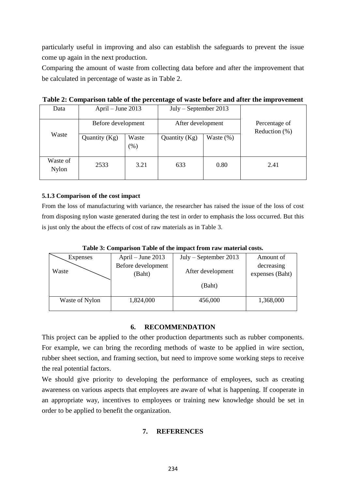particularly useful in improving and also can establish the safeguards to prevent the issue come up again in the next production.

Comparing the amount of waste from collecting data before and after the improvement that be calculated in percentage of waste as in Table 2.

| Data                     | April $-$ June 2013 |                 | $July - September 2013$ |              |                                   |
|--------------------------|---------------------|-----------------|-------------------------|--------------|-----------------------------------|
| Before development       |                     |                 | After development       |              | Percentage of<br>Reduction $(\%)$ |
| Waste                    | Quantity $(Kg)$     | Waste<br>$(\%)$ | Quantity $(Kg)$         | Waste $(\%)$ |                                   |
| Waste of<br><b>Nylon</b> | 2533                | 3.21            | 633                     | 0.80         | 2.41                              |

**Table 2: Comparison table of the percentage of waste before and after the improvement**

### **5.1.3 Comparison of the cost impact**

From the loss of manufacturing with variance, the researcher has raised the issue of the loss of cost from disposing nylon waste generated during the test in order to emphasis the loss occurred. But this is just only the about the effects of cost of raw materials as in Table 3.

| Expenses       | April $-$ June 2013 | $July - September 2013$ | Amount of       |
|----------------|---------------------|-------------------------|-----------------|
|                | Before development  |                         | decreasing      |
| Waste          | (Baht)              | After development       | expenses (Baht) |
|                |                     |                         |                 |
|                |                     | (Baht)                  |                 |
|                |                     |                         |                 |
| Waste of Nylon | 1,824,000           | 456,000                 | 1,368,000       |
|                |                     |                         |                 |

**Table 3: Comparison Table of the impact from raw material costs.**

## **6. RECOMMENDATION**

This project can be applied to the other production departments such as rubber components. For example, we can bring the recording methods of waste to be applied in wire section, rubber sheet section, and framing section, but need to improve some working steps to receive the real potential factors.

We should give priority to developing the performance of employees, such as creating awareness on various aspects that employees are aware of what is happening. If cooperate in an appropriate way, incentives to employees or training new knowledge should be set in order to be applied to benefit the organization.

## **7. REFERENCES**